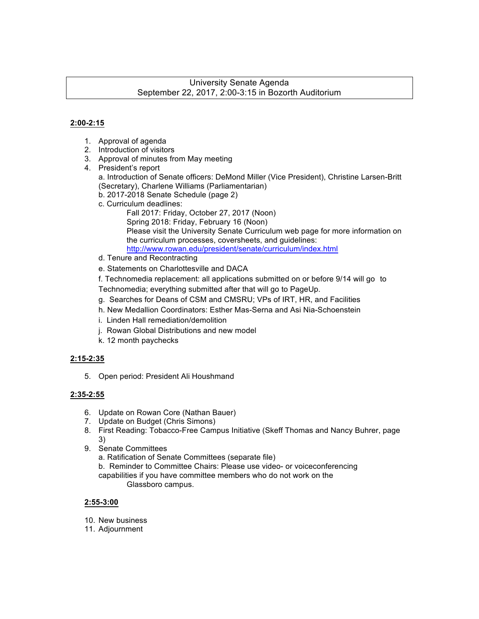# University Senate Agenda September 22, 2017, 2:00-3:15 in Bozorth Auditorium

#### **2:00-2:15**

- 1. Approval of agenda
- 2. Introduction of visitors
- 3. Approval of minutes from May meeting
- 4. President's report a. Introduction of Senate officers: DeMond Miller (Vice President), Christine Larsen-Britt
	- (Secretary), Charlene Williams (Parliamentarian)
	- b. 2017-2018 Senate Schedule (page 2)
	- c. Curriculum deadlines:
		- Fall 2017: Friday, October 27, 2017 (Noon) Spring 2018: Friday, February 16 (Noon) Please visit the University Senate Curriculum web page for more information on the curriculum processes, coversheets, and guidelines: http://www.rowan.edu/president/senate/curriculum/index.html
	- d. Tenure and Recontracting
	- e. Statements on Charlottesville and DACA
	- f. Technomedia replacement: all applications submitted on or before 9/14 will go to Technomedia; everything submitted after that will go to PageUp.
	- g. Searches for Deans of CSM and CMSRU; VPs of IRT, HR, and Facilities
	- h. New Medallion Coordinators: Esther Mas-Serna and Asi Nia-Schoenstein
	- i. Linden Hall remediation/demolition
	- j. Rowan Global Distributions and new model
	- k. 12 month paychecks

# **2:15-2:35**

5. Open period: President Ali Houshmand

# **2:35-2:55**

- 6. Update on Rowan Core (Nathan Bauer)
- 7. Update on Budget (Chris Simons)
- 8. First Reading: Tobacco-Free Campus Initiative (Skeff Thomas and Nancy Buhrer, page 3)
- 9. Senate Committees
	- a. Ratification of Senate Committees (separate file)
	- b. Reminder to Committee Chairs: Please use video- or voiceconferencing capabilities if you have committee members who do not work on the Glassboro campus.

# **2:55-3:00**

- 10. New business
- 11. Adjournment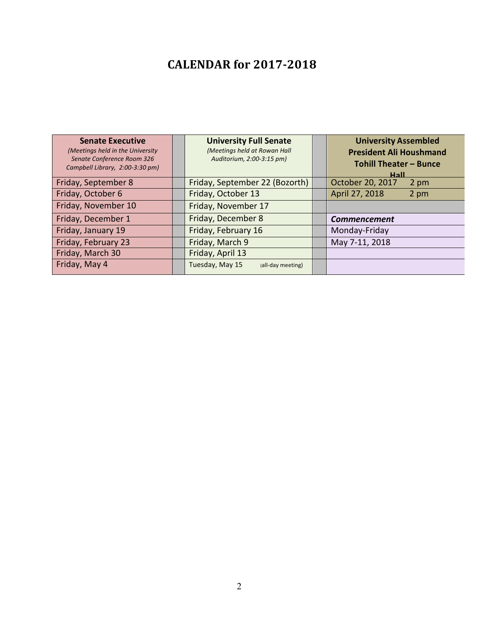# **CALENDAR for 2017-2018**

| <b>Senate Executive</b><br>(Meetings held in the University<br>Senate Conference Room 326<br>Campbell Library, 2:00-3:30 pm) | <b>University Full Senate</b><br>(Meetings held at Rowan Hall<br>Auditorium, 2:00-3:15 pm) | <b>University Assembled</b><br><b>President Ali Houshmand</b><br><b>Tohill Theater - Bunce</b><br>Hall |
|------------------------------------------------------------------------------------------------------------------------------|--------------------------------------------------------------------------------------------|--------------------------------------------------------------------------------------------------------|
| Friday, September 8                                                                                                          | Friday, September 22 (Bozorth)                                                             | October 20, 2017<br>2 pm                                                                               |
| Friday, October 6                                                                                                            | Friday, October 13                                                                         | April 27, 2018<br>2 pm                                                                                 |
| Friday, November 10                                                                                                          | Friday, November 17                                                                        |                                                                                                        |
| Friday, December 1                                                                                                           | Friday, December 8                                                                         | <b>Commencement</b>                                                                                    |
| Friday, January 19                                                                                                           | Friday, February 16                                                                        | Monday-Friday                                                                                          |
| Friday, February 23                                                                                                          | Friday, March 9                                                                            | May 7-11, 2018                                                                                         |
| Friday, March 30                                                                                                             | Friday, April 13                                                                           |                                                                                                        |
| Friday, May 4                                                                                                                | Tuesday, May 15<br>(all-day meeting)                                                       |                                                                                                        |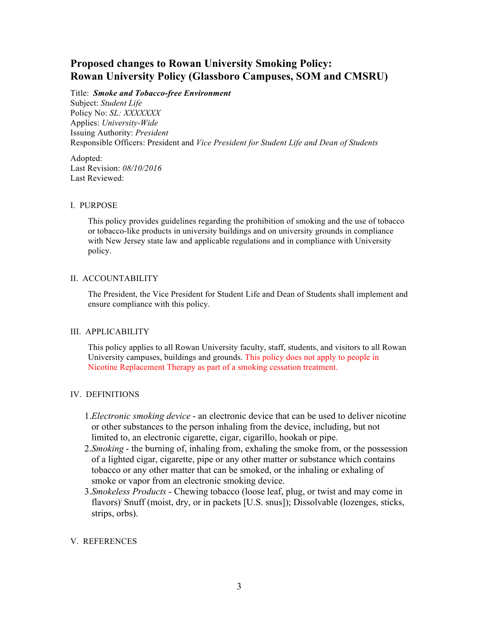# **Proposed changes to Rowan University Smoking Policy: Rowan University Policy (Glassboro Campuses, SOM and CMSRU)**

Title: *Smoke and Tobacco-free Environment*

Subject: *Student Life* Policy No: *SL: XXXXXXX* Applies: *University-Wide* Issuing Authority: *President* Responsible Officers: President and *Vice President for Student Life and Dean of Students*

Adopted: Last Revision: *08/10/2016* Last Reviewed:

#### I. PURPOSE

This policy provides guidelines regarding the prohibition of smoking and the use of tobacco or tobacco-like products in university buildings and on university grounds in compliance with New Jersey state law and applicable regulations and in compliance with University policy.

#### II. ACCOUNTABILITY

The President, the Vice President for Student Life and Dean of Students shall implement and ensure compliance with this policy.

#### III. APPLICABILITY

This policy applies to all Rowan University faculty, staff, students, and visitors to all Rowan University campuses, buildings and grounds. This policy does not apply to people in Nicotine Replacement Therapy as part of a smoking cessation treatment.

#### IV. DEFINITIONS

- 1.*Electronic smoking device* an electronic device that can be used to deliver nicotine or other substances to the person inhaling from the device, including, but not limited to, an electronic cigarette, cigar, cigarillo, hookah or pipe.
- 2.*Smoking* the burning of, inhaling from, exhaling the smoke from, or the possession of a lighted cigar, cigarette, pipe or any other matter or substance which contains tobacco or any other matter that can be smoked, or the inhaling or exhaling of smoke or vapor from an electronic smoking device.
- 3.*Smokeless Products* Chewing tobacco (loose leaf, plug, or twist and may come in flavors)<sup>;</sup> Snuff (moist, dry, or in packets [U.S. snus]); Dissolvable (lozenges, sticks, strips, orbs).

#### V. REFERENCES